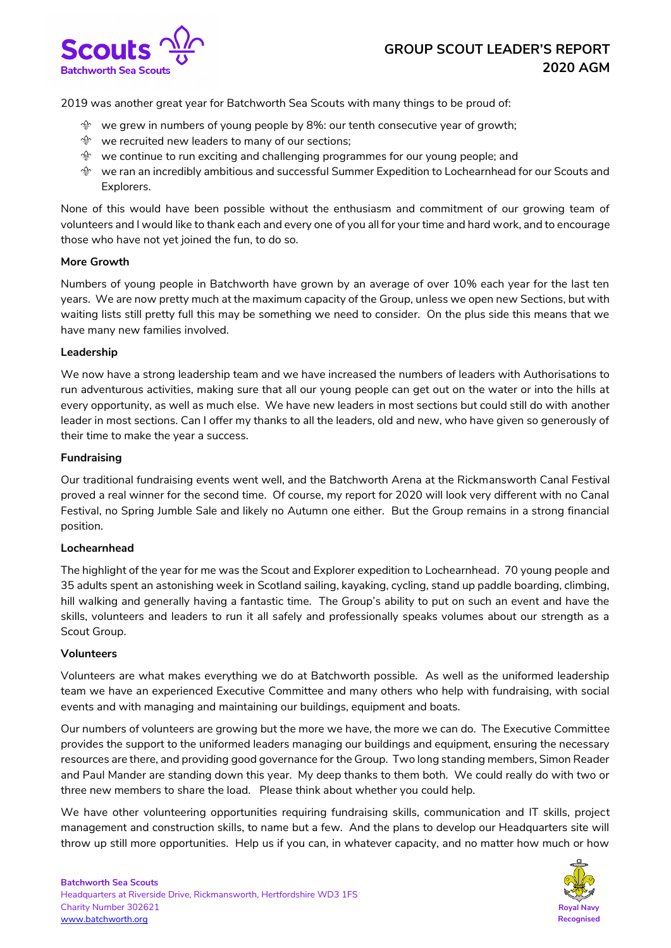

2019 was another great year for Batchworth Sea Scouts with many things to be proud of:

- $\mathcal{P}$  we grew in numbers of young people by 8%: our tenth consecutive year of growth;
- $\mathcal{P}$  we recruited new leaders to many of our sections;
- $\mathcal{P}$  we continue to run exciting and challenging programmes for our young people; and
- $^{\circledast}$  we ran an incredibly ambitious and successful Summer Expedition to Lochearnhead for our Scouts and Explorers.

None of this would have been possible without the enthusiasm and commitment of our growing team of volunteers and I would like to thank each and every one of you all for your time and hard work, and to encourage those who have not yet joined the fun, to do so.

### **More Growth**

Numbers of young people in Batchworth have grown by an average of over 10% each year for the last ten years. We are now pretty much at the maximum capacity of the Group, unless we open new Sections, but with waiting lists still pretty full this may be something we need to consider. On the plus side this means that we have many new families involved.

# **Leadership**

We now have a strong leadership team and we have increased the numbers of leaders with Authorisations to run adventurous activities, making sure that all our young people can get out on the water or into the hills at every opportunity, as well as much else. We have new leaders in most sections but could still do with another leader in most sections. Can I offer my thanks to all the leaders, old and new, who have given so generously of their time to make the year a success.

# **Fundraising**

Our traditional fundraising events went well, and the Batchworth Arena at the Rickmansworth Canal Festival proved a real winner for the second time. Of course, my report for 2020 will look very different with no Canal Festival, no Spring Jumble Sale and likely no Autumn one either. But the Group remains in a strong financial position.

### **Lochearnhead**

The highlight of the year for me was the Scout and Explorer expedition to Lochearnhead. 70 young people and 35 adults spent an astonishing week in Scotland sailing, kayaking, cycling, stand up paddle boarding, climbing, hill walking and generally having a fantastic time. The Group's ability to put on such an event and have the skills, volunteers and leaders to run it all safely and professionally speaks volumes about our strength as a Scout Group.

### **Volunteers**

Volunteers are what makes everything we do at Batchworth possible. As well as the uniformed leadership team we have an experienced Executive Committee and many others who help with fundraising, with social events and with managing and maintaining our buildings, equipment and boats.

Our numbers of volunteers are growing but the more we have, the more we can do. The Executive Committee provides the support to the uniformed leaders managing our buildings and equipment, ensuring the necessary resources are there, and providing good governance for the Group. Two long standing members, Simon Reader and Paul Mander are standing down this year. My deep thanks to them both. We could really do with two or three new members to share the load. Please think about whether you could help.

We have other volunteering opportunities requiring fundraising skills, communication and IT skills, project management and construction skills, to name but a few. And the plans to develop our Headquarters site will throw up still more opportunities. Help us if you can, in whatever capacity, and no matter how much or how